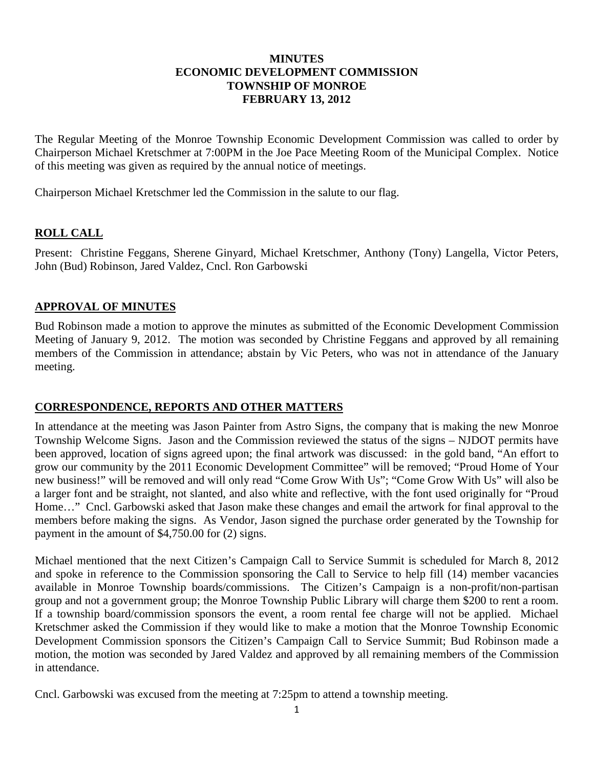## **MINUTES ECONOMIC DEVELOPMENT COMMISSION TOWNSHIP OF MONROE FEBRUARY 13, 2012**

The Regular Meeting of the Monroe Township Economic Development Commission was called to order by Chairperson Michael Kretschmer at 7:00PM in the Joe Pace Meeting Room of the Municipal Complex. Notice of this meeting was given as required by the annual notice of meetings.

Chairperson Michael Kretschmer led the Commission in the salute to our flag.

# **ROLL CALL**

Present: Christine Feggans, Sherene Ginyard, Michael Kretschmer, Anthony (Tony) Langella, Victor Peters, John (Bud) Robinson, Jared Valdez, Cncl. Ron Garbowski

### **APPROVAL OF MINUTES**

Bud Robinson made a motion to approve the minutes as submitted of the Economic Development Commission Meeting of January 9, 2012. The motion was seconded by Christine Feggans and approved by all remaining members of the Commission in attendance; abstain by Vic Peters, who was not in attendance of the January meeting.

### **CORRESPONDENCE, REPORTS AND OTHER MATTERS**

In attendance at the meeting was Jason Painter from Astro Signs, the company that is making the new Monroe Township Welcome Signs. Jason and the Commission reviewed the status of the signs – NJDOT permits have been approved, location of signs agreed upon; the final artwork was discussed: in the gold band, "An effort to grow our community by the 2011 Economic Development Committee" will be removed; "Proud Home of Your new business!" will be removed and will only read "Come Grow With Us"; "Come Grow With Us" will also be a larger font and be straight, not slanted, and also white and reflective, with the font used originally for "Proud Home…" Cncl. Garbowski asked that Jason make these changes and email the artwork for final approval to the members before making the signs. As Vendor, Jason signed the purchase order generated by the Township for payment in the amount of \$4,750.00 for (2) signs.

Michael mentioned that the next Citizen's Campaign Call to Service Summit is scheduled for March 8, 2012 and spoke in reference to the Commission sponsoring the Call to Service to help fill (14) member vacancies available in Monroe Township boards/commissions. The Citizen's Campaign is a non-profit/non-partisan group and not a government group; the Monroe Township Public Library will charge them \$200 to rent a room. If a township board/commission sponsors the event, a room rental fee charge will not be applied. Michael Kretschmer asked the Commission if they would like to make a motion that the Monroe Township Economic Development Commission sponsors the Citizen's Campaign Call to Service Summit; Bud Robinson made a motion, the motion was seconded by Jared Valdez and approved by all remaining members of the Commission in attendance.

Cncl. Garbowski was excused from the meeting at 7:25pm to attend a township meeting.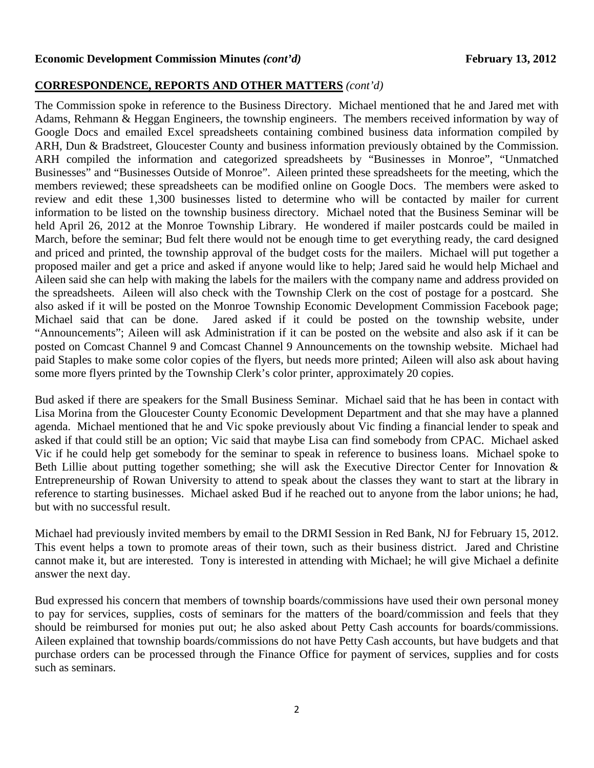#### **Economic Development Commission Minutes** *(cont'd)* **February 13, 2012**

### **CORRESPONDENCE, REPORTS AND OTHER MATTERS** *(cont'd)*

The Commission spoke in reference to the Business Directory. Michael mentioned that he and Jared met with Adams, Rehmann & Heggan Engineers, the township engineers. The members received information by way of Google Docs and emailed Excel spreadsheets containing combined business data information compiled by ARH, Dun & Bradstreet, Gloucester County and business information previously obtained by the Commission. ARH compiled the information and categorized spreadsheets by "Businesses in Monroe", "Unmatched Businesses" and "Businesses Outside of Monroe". Aileen printed these spreadsheets for the meeting, which the members reviewed; these spreadsheets can be modified online on Google Docs. The members were asked to review and edit these 1,300 businesses listed to determine who will be contacted by mailer for current information to be listed on the township business directory. Michael noted that the Business Seminar will be held April 26, 2012 at the Monroe Township Library. He wondered if mailer postcards could be mailed in March, before the seminar; Bud felt there would not be enough time to get everything ready, the card designed and priced and printed, the township approval of the budget costs for the mailers. Michael will put together a proposed mailer and get a price and asked if anyone would like to help; Jared said he would help Michael and Aileen said she can help with making the labels for the mailers with the company name and address provided on the spreadsheets. Aileen will also check with the Township Clerk on the cost of postage for a postcard. She also asked if it will be posted on the Monroe Township Economic Development Commission Facebook page; Michael said that can be done. Jared asked if it could be posted on the township website, under "Announcements"; Aileen will ask Administration if it can be posted on the website and also ask if it can be posted on Comcast Channel 9 and Comcast Channel 9 Announcements on the township website. Michael had paid Staples to make some color copies of the flyers, but needs more printed; Aileen will also ask about having some more flyers printed by the Township Clerk's color printer, approximately 20 copies.

Bud asked if there are speakers for the Small Business Seminar. Michael said that he has been in contact with Lisa Morina from the Gloucester County Economic Development Department and that she may have a planned agenda. Michael mentioned that he and Vic spoke previously about Vic finding a financial lender to speak and asked if that could still be an option; Vic said that maybe Lisa can find somebody from CPAC. Michael asked Vic if he could help get somebody for the seminar to speak in reference to business loans. Michael spoke to Beth Lillie about putting together something; she will ask the Executive Director Center for Innovation & Entrepreneurship of Rowan University to attend to speak about the classes they want to start at the library in reference to starting businesses. Michael asked Bud if he reached out to anyone from the labor unions; he had, but with no successful result.

Michael had previously invited members by email to the DRMI Session in Red Bank, NJ for February 15, 2012. This event helps a town to promote areas of their town, such as their business district. Jared and Christine cannot make it, but are interested. Tony is interested in attending with Michael; he will give Michael a definite answer the next day.

Bud expressed his concern that members of township boards/commissions have used their own personal money to pay for services, supplies, costs of seminars for the matters of the board/commission and feels that they should be reimbursed for monies put out; he also asked about Petty Cash accounts for boards/commissions. Aileen explained that township boards/commissions do not have Petty Cash accounts, but have budgets and that purchase orders can be processed through the Finance Office for payment of services, supplies and for costs such as seminars.